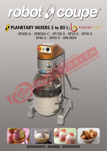# robot (g) coupe®

# $\theta$  PLANETARY MIXERS 5 to 80 L: $\theta$ , bakermix<sup>®</sup>

SP500-A - SP800A-C - SP100-S - SP25-S - SP30-S - SP40-S - SP60-S - SPB-80HI



Restaurants - Bakeries - Institutions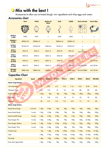

## **Mix with the best!**

Accessories to allow you to knead dough, mix ingredients and whip eggs and cream.

#### Accessories chart

|                                   | <b>Bowl</b>      | <b>Whisk</b>     | <b>Reinforced</b><br><b>Whisk</b> | <b>Hook</b>      | <b>Paddle</b>    | <b>Bowl and tools</b>           | <b>Bowl trolley</b>       |
|-----------------------------------|------------------|------------------|-----------------------------------|------------------|------------------|---------------------------------|---------------------------|
|                                   |                  |                  |                                   |                  |                  |                                 |                           |
| <b>SP500-A</b><br>5 LITRE         | 5A04             | 5A01             | x                                 | 5A03             | 5A02             | $\boldsymbol{\mathsf{x}}$       | $\boldsymbol{\mathsf{x}}$ |
| <b>SP800A-C</b><br>8 LITRE        | SP800A-30        | SP800A-27        | $\mathsf{x}$                      | SP800A-26        | SP800A-25        | $\pmb{\mathsf{x}}$              | $\boldsymbol{\mathsf{x}}$ |
| <b>SP100-S</b><br><b>10 LITRE</b> | SP100-019        | SP100-018        | 100018-A                          | SP100-16         | SP100-017        | $\boldsymbol{\mathsf{x}}$       | $\mathbf{x}$              |
| <b>SP25-S</b><br>25 LITRE         | SP25-32          | SP25-31          | 22031-A                           | SP25-29          | SP25-30          | <b>10L</b><br><b>ACC10/SP25</b> | $\mathbf{x}$              |
| <b>SP30-S</b><br><b>30 LITRE</b>  | SP30-32          | SP30-31          | 30031-A                           | SP30-29          | SP30-30          | $\pmb{\times}$                  | ACC/TR-30                 |
| <b>SP40-S</b><br><b>40 LITRE</b>  | SP40-32          | SP40-31          | 40031-A                           | SP40-29          | SP40-30          | $\overline{\mathsf{x}}$         | ACC/TR-40                 |
| <b>SP60-S</b><br>60 LITRE         | SP60-32          | SP60-31          | 60031-A                           | SP60-29          | SP60-30          | <b>ACC30/SP60</b>               | ACC/TR-60                 |
| SPB-80HI<br>80 LITRE              | <b>SPB80-A28</b> | <b>SPB80-A25</b> | A-8025-A                          | <b>SPB80-A27</b> | <b>SPB80-A26</b> | ACC40/SPB80                     | ACC/TR-80                 |

**AO** 

#### Capacities Chart

| <b>Ingredients</b>                                      | <b>Speed</b> | <b>SP500-A</b>   | <b>SP800A-C</b>   | <b>SP100-S</b>    | <b>SP25-S</b>    | <b>SP30-S</b>     | <b>SP40-S</b> | <b>SP60-S</b> | SPB-80HI  |
|---------------------------------------------------------|--------------|------------------|-------------------|-------------------|------------------|-------------------|---------------|---------------|-----------|
| 10 <sub>0</sub><br><b>Kitchen Single Batches</b><br>131 |              |                  |                   |                   |                  |                   |               |               |           |
| <b>Hot Cake Batter</b>                                  |              | 2L               | 2.8L              | 4.7 <sub>l</sub>  | 9.5L             | 11.6L             | 15.2L         | 22.8L         | 28.4L     |
| Whipped Cream                                           |              | 2.5L             | 3.5L              | 5L                | 12L              | 15L               | <b>20L</b>    | 30L           | 40L       |
| <b>Mashed Potatoes</b>                                  |              | 2.5Kg            | 4Kg               | 5Kg               | 12Kg             | 15Kg              | 20Kg          | 30Kg          | 40Kg      |
| Egg White                                               |              | 2L               | 2.8L              | 3.5L              | 8L               | 9L                | 12L           | 19L           | 28L       |
| Meringue                                                |              | 1.8L             | 2.7L              | 3.5L              | 7.5L             | 8.5L              | 11L           | 17L           | 25L       |
| <b>Bakery Single Batches</b>                            |              |                  |                   |                   |                  |                   |               |               |           |
| <b>Raised Donut Dough</b>                               | 1st & 2nd    | 1.5Kg            | 2.5K <sub>g</sub> | 3Kg               | 8Kg              | 10Kg              | 14Kg          | 24Kg          | 34Kg      |
| Heavy Bread Dough                                       | 1st only     | 1.2Kg            | 2.2Kg             | 2.8 <sub>g</sub>  | 7Kg              | 9Kg               | 13Kg          | 18Kg          | 25Kg      |
| <b>Bread and Roll Dough</b>                             | 1st only     | 1.4Kg            | 2.5Kg             | 3.5 <sub>kg</sub> | 9Kg              | 11Kg              | 15Kg          | 23Kg          | 32Kg      |
| Pizza Dough, Thin                                       | 1st only     | 1.5Kg            | 2.5Kg             | 3Kg               | 9Kg              | 10Kg              | 14Kg          | 22.6Kg        | 34Kg      |
| Pizza Dough, Medium                                     | 1st only     | 1.4Kg            | $2.6$ Kg          | 3.2 <sub>g</sub>  | 8.5Kg            | 11Kg              | 15Kg          | 23Kg          | 32Kg      |
| Pizza Dough, Thick                                      | 1st only     | $1.2$ Kg         | 2.3K <sub>g</sub> | 2.8 <sub>g</sub>  | 8Kg              | 9Kg               | 12Kg          | 18Kg          | 25Kg      |
| <b>Fondant Icing</b>                                    |              | 1Kg              | $1.4$ Kg          | 2.7 <sub>kg</sub> | 6.8Kg            | 8.5Kg             | $11.4$ Kg     | 13.6Kg        | $27.2$ Kg |
| Cake                                                    |              | 1.8 <sub>g</sub> | $2.7$ Kg          | 4.8Kg             | 11.4Kg           | 13.6Kg            | 18Kg          | 27.2Kg        | 40.8Kg    |
| Pie Dough                                               |              | $1.4$ Kg         | 1.8 <sub>g</sub>  | 4.55Kg            | 10 <sub>Kg</sub> | 12.3 <sub>g</sub> | 15.9Kg        | 22.7Kg        | 31.7Kg    |
| Pasta, Basic Egg Noodle                                 |              | 1.5Kg            | 2.5Kg             | 3Kg               | 9Kg              | 10Kg              | 14Kg          | 23Kg          | 32Kg      |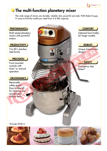## **O** The multi-function planetary mixer

The wide range of mixers are durable, reliable, fast, powerful and safe. With Robot-Coupe, it's easy to find the model you need from 5 to 80L capacity.

#### PERFORMANCE **COMFORT**

Multi speed planetary mixers with powerful motors.

#### **PRODUCTIVITY**

5 to 80 L stainless steel bowls.

#### **PRECISION**

Front mounted controls with timer\* or manual operation.

#### **ERGONOMICS**

Removable safety guard. Easy to take off for cleaning and maintenance without tools.

Optional bowl trolley for larger models.

 $\bigwedge$  bakermix<sup>®</sup>

**ROBUST** 

Unique transmission design\*

#### **SAFETY**

R.COM

Emergency stop button\*

\*Excludes SP500-A